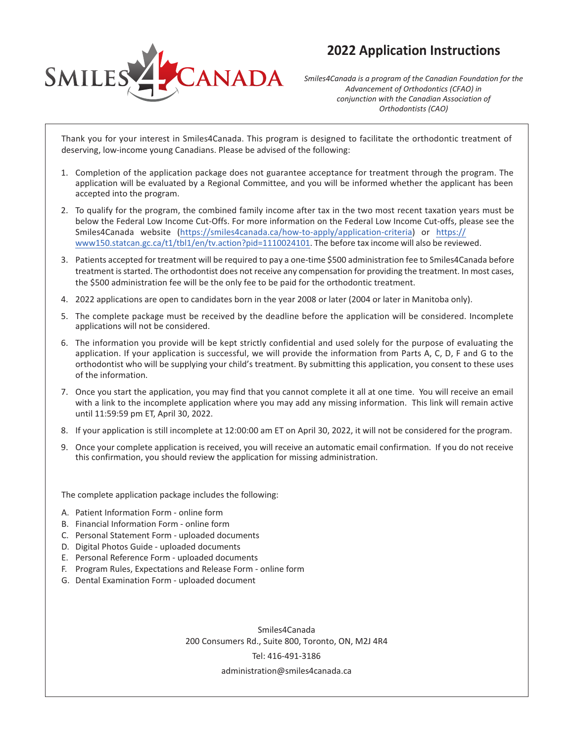



*Smiles4Canada is a program of the Canadian Foundation for the Advancement of Orthodontics (CFAO) in conjunction with the Canadian Association of Orthodontists (CAO)* 

Thank you for your interest in Smiles4Canada. This program is designed to facilitate the orthodontic treatment of deserving, low-income young Canadians. Please be advised of the following:

- 1. Completion of the application package does not guarantee acceptance for treatment through the program. The application will be evaluated by a Regional Committee, and you will be informed whether the applicant has been accepted into the program.
- 2. To qualify for the program, the combined family income after tax in the two most recent taxation years must be below the Federal Low Income Cut-Offs. For more information on the Federal Low Income Cut-offs, please see the Smiles4Canada website (https://smiles4canada.ca/how-to-apply/application-criteria) or https:// www150.statcan.gc.ca/t1/tbl1/en/tv.action?pid=1110024101. The before tax income will also be reviewed.
- 3. Patients accepted for treatment will be required to pay a one-time \$500 administration fee to Smiles4Canada before treatment is started. The orthodontist does not receive any compensation for providing the treatment. In most cases, the \$500 administration fee will be the only fee to be paid for the orthodontic treatment.
- 4. 2022 applications are open to candidates born in the year 2008 or later (2004 or later in Manitoba only).
- 5. The complete package must be received by the deadline before the application will be considered. Incomplete applications will not be considered.
- 6. The information you provide will be kept strictly confidential and used solely for the purpose of evaluating the application. If your application is successful, we will provide the information from Parts A, C, D, F and G to the orthodontist who will be supplying your child's treatment. By submitting this application, you consent to these uses of the information.
- 7. Once you start the application, you may find that you cannot complete it all at one time. You will receive an email with a link to the incomplete application where you may add any missing information. This link will remain active until 11:59:59 pm ET, April 30, 2022.
- 8. If your application is still incomplete at 12:00:00 am ET on April 30, 2022, it will not be considered for the program.
- 9. Once your complete application is received, you will receive an automatic email confirmation. If you do not receive this confirmation, you should review the application for missing administration.

The complete application package includes the following:

- A. Patient Information Form online form
- B. Financial Information Form online form
- C. Personal Statement Form uploaded documents
- D. Digital Photos Guide uploaded documents
- E. Personal Reference Form uploaded documents
- F. Program Rules, Expectations and Release Form online form
- G. Dental Examination Form uploaded document

Smiles4Canada 200 Consumers Rd., Suite 800, Toronto, ON, M2J 4R4 Tel: 416-491-3186 administration@smiles4canada.ca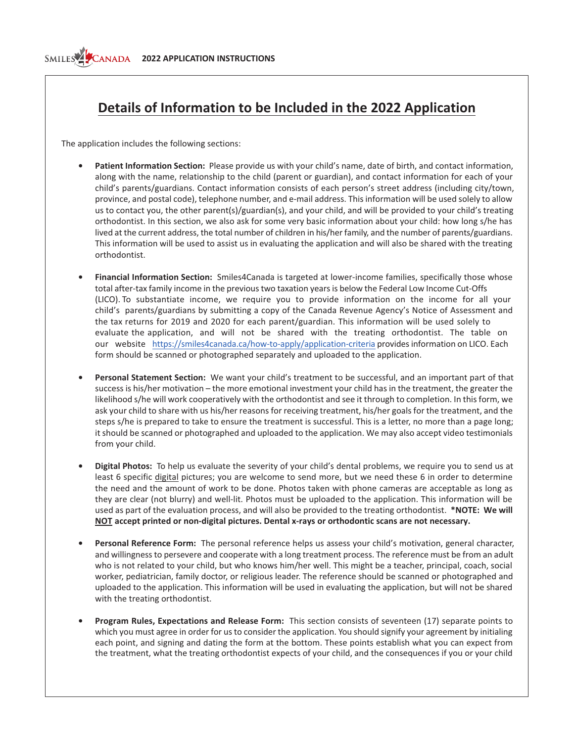## SMILES<sup>2</sup>CANADA **2022 APPLICATION INSTRUCTIONS**

## **Details of Information to be Included in the 2022 Application**

The application includes the following sections:

- **Patient Information Section:** Please provide us with your child's name, date of birth, and contact information, along with the name, relationship to the child (parent or guardian), and contact information for each of your child's parents/guardians. Contact information consists of each person's street address (including city/town, province, and postal code), telephone number, and e-mail address. This information will be used solely to allow us to contact you, the other parent(s)/guardian(s), and your child, and will be provided to your child's treating orthodontist. In this section, we also ask for some very basic information about your child: how long s/he has lived at the current address, the total number of children in his/her family, and the number of parents/guardians. This information will be used to assist us in evaluating the application and will also be shared with the treating orthodontist.
- **Financial Information Section:** Smiles4Canada is targeted at lowerincome families, specifically those whose total after-tax family income in the previous two taxation years is below the Federal Low Income Cut-Offs (LICO). To substantiate income, we require you to provide information on the income for all your child's parents/guardians by submitting a copy of the Canada Revenue Agency's Notice of Assessment and the tax returns for 2019 and 2020 for each parent/guardian. This information will be used solely to evaluate the application, and will not be shared with the treating orthodontist. The table on our website https://smiles4canada.ca/how-to-apply/application-criteria provides information on LICO. Each form should be scanned or photographed separately and uploaded to the application.
- **Personal Statement Section:** We want your child's treatment to be successful, and an important part of that success is his/her motivation – the more emotional investment your child has in the treatment, the greater the likelihood s/he will work cooperatively with the orthodontist and see it through to completion. In this form, we ask your child to share with us his/her reasons for receiving treatment, his/her goals for the treatment, and the steps s/he is prepared to take to ensure the treatment is successful. This is a letter, no more than a page long; it should be scanned or photographed and uploaded to the application. We may also accept video testimonials from your child.
- **Digital Photos:** To help us evaluate the severity of your child's dental problems, we require you to send us at least 6 specific digital pictures; you are welcome to send more, but we need these 6 in order to determine the need and the amount of work to be done. Photos taken with phone cameras are acceptable as long as they are clear (not blurry) and well-lit. Photos must be uploaded to the application. This information will be used as part of the evaluation process, and will also be provided to the treating orthodontist. **\*NOTE: We will NOT** accept printed or non-digital pictures. Dental x-rays or orthodontic scans are not necessary.
- **Personal Reference Form:** The personal reference helps us assess your child's motivation, general character, and willingness to persevere and cooperate with a long treatment process. The reference must be from an adult who is not related to your child, but who knows him/her well. This might be a teacher, principal, coach, social worker, pediatrician, family doctor, or religious leader. The reference should be scanned or photographed and uploaded to the application. This information will be used in evaluating the application, but will not be shared with the treating orthodontist.
- **• Program Rules, Expectations and Release Form:** This section consists of seventeen (17) separate points to which you must agree in order for us to consider the application. You should signify your agreement by initialing each point, and signing and dating the form at the bottom. These points establish what you can expect from the treatment, what the treating orthodontist expects of your child, and the consequences if you or your child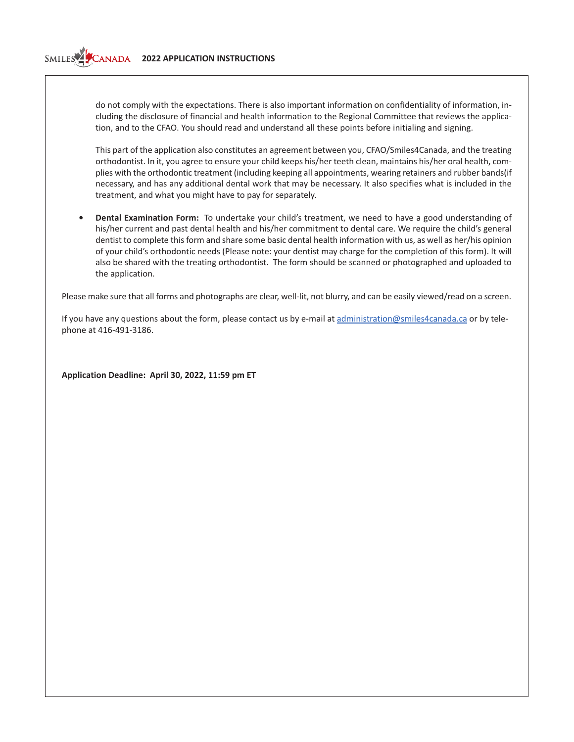## **2022 APPLICATION INSTRUCTIONS**

do not comply with the expectations. There is also important information on confidentiality of information, including the disclosure of financial and health information to the Regional Committee that reviews the application, and to the CFAO. You should read and understand all these points before initialing and signing.

This part of the application also constitutes an agreement between you, CFAO/Smiles4Canada, and the treating orthodontist. In it, you agree to ensure your child keeps his/her teeth clean, maintains his/her oral health, complies with the orthodontic treatment (including keeping all appointments, wearing retainers and rubber bands(if necessary, and has any additional dental work that may be necessary. It also specifies what is included in the treatment, and what you might have to pay for separately.

**• Dental Examination Form:** To undertake your child's treatment, we need to have a good understanding of his/her current and past dental health and his/her commitment to dental care. We require the child's general dentist to complete this form and share some basic dental health information with us, as well as her/his opinion of your child's orthodontic needs (Please note: your dentist may charge for the completion of this form). It will also be shared with the treating orthodontist. The form should be scanned or photographed and uploaded to the application.

Please make sure that all forms and photographs are clear, well-lit, not blurry, and can be easily viewed/read on a screen.

If you have any questions about the form, please contact us by e-mail at administration@smiles4canada.ca or by telephone at 416-491-3186.

**Application Deadline: April 30, 2022, 11:59 pm ET**